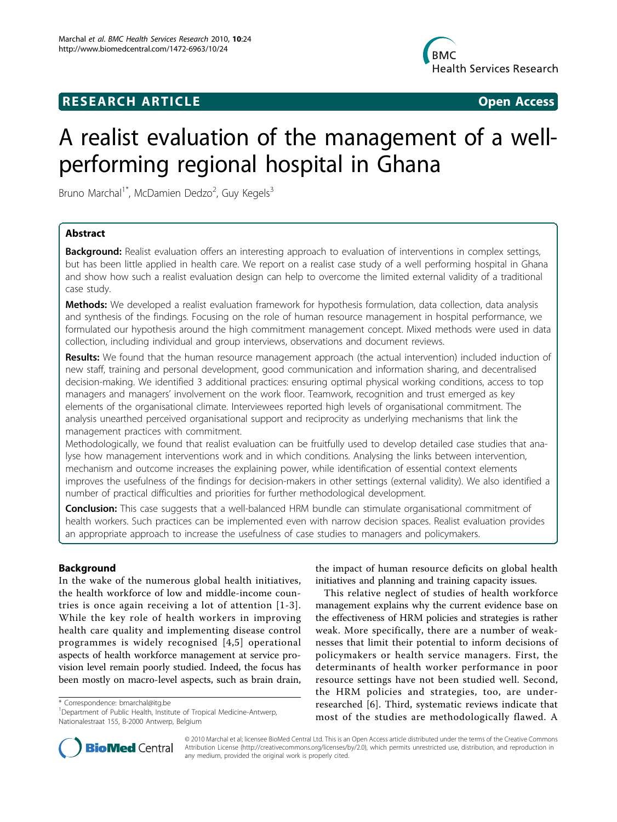## **RESEARCH ARTICLE Example 2018 CONSIDERING ACCESS**



# A realist evaluation of the management of a wellperforming regional hospital in Ghana

Bruno Marchal<sup>1\*</sup>, McDamien Dedzo<sup>2</sup>, Guy Kegels<sup>3</sup>

## Abstract

**Background:** Realist evaluation offers an interesting approach to evaluation of interventions in complex settings, but has been little applied in health care. We report on a realist case study of a well performing hospital in Ghana and show how such a realist evaluation design can help to overcome the limited external validity of a traditional case study.

Methods: We developed a realist evaluation framework for hypothesis formulation, data collection, data analysis and synthesis of the findings. Focusing on the role of human resource management in hospital performance, we formulated our hypothesis around the high commitment management concept. Mixed methods were used in data collection, including individual and group interviews, observations and document reviews.

Results: We found that the human resource management approach (the actual intervention) included induction of new staff, training and personal development, good communication and information sharing, and decentralised decision-making. We identified 3 additional practices: ensuring optimal physical working conditions, access to top managers and managers' involvement on the work floor. Teamwork, recognition and trust emerged as key elements of the organisational climate. Interviewees reported high levels of organisational commitment. The analysis unearthed perceived organisational support and reciprocity as underlying mechanisms that link the management practices with commitment.

Methodologically, we found that realist evaluation can be fruitfully used to develop detailed case studies that analyse how management interventions work and in which conditions. Analysing the links between intervention, mechanism and outcome increases the explaining power, while identification of essential context elements improves the usefulness of the findings for decision-makers in other settings (external validity). We also identified a number of practical difficulties and priorities for further methodological development.

**Conclusion:** This case suggests that a well-balanced HRM bundle can stimulate organisational commitment of health workers. Such practices can be implemented even with narrow decision spaces. Realist evaluation provides an appropriate approach to increase the usefulness of case studies to managers and policymakers.

## Background

In the wake of the numerous global health initiatives, the health workforce of low and middle-income countries is once again receiving a lot of attention [[1-3\]](#page-11-0). While the key role of health workers in improving health care quality and implementing disease control programmes is widely recognised [[4,5\]](#page-12-0) operational aspects of health workforce management at service provision level remain poorly studied. Indeed, the focus has been mostly on macro-level aspects, such as brain drain,

\* Correspondence: [bmarchal@itg.be](mailto:bmarchal@itg.be)

<sup>1</sup>Department of Public Health, Institute of Tropical Medicine-Antwerp, Nationalestraat 155, B-2000 Antwerp, Belgium

the impact of human resource deficits on global health initiatives and planning and training capacity issues.

This relative neglect of studies of health workforce management explains why the current evidence base on the effectiveness of HRM policies and strategies is rather weak. More specifically, there are a number of weaknesses that limit their potential to inform decisions of policymakers or health service managers. First, the determinants of health worker performance in poor resource settings have not been studied well. Second, the HRM policies and strategies, too, are underresearched [\[6](#page-12-0)]. Third, systematic reviews indicate that most of the studies are methodologically flawed. A



© 2010 Marchal et al; licensee BioMed Central Ltd. This is an Open Access article distributed under the terms of the Creative Commons Attribution License [\(http://creativecommons.org/licenses/by/2.0](http://creativecommons.org/licenses/by/2.0)), which permits unrestricted use, distribution, and reproduction in any medium, provided the original work is properly cited.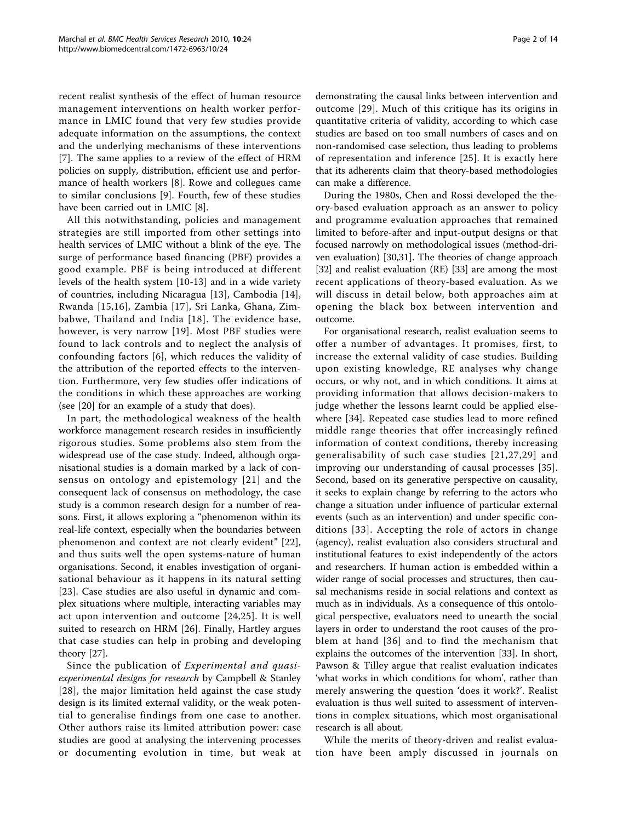recent realist synthesis of the effect of human resource management interventions on health worker performance in LMIC found that very few studies provide adequate information on the assumptions, the context and the underlying mechanisms of these interventions [[7](#page-12-0)]. The same applies to a review of the effect of HRM policies on supply, distribution, efficient use and performance of health workers [\[8](#page-12-0)]. Rowe and collegues came to similar conclusions [[9\]](#page-12-0). Fourth, few of these studies have been carried out in LMIC [\[8](#page-12-0)].

All this notwithstanding, policies and management strategies are still imported from other settings into health services of LMIC without a blink of the eye. The surge of performance based financing (PBF) provides a good example. PBF is being introduced at different levels of the health system [\[10](#page-12-0)-[13\]](#page-12-0) and in a wide variety of countries, including Nicaragua [[13](#page-12-0)], Cambodia [[14](#page-12-0)], Rwanda [\[15,16](#page-12-0)], Zambia [[17](#page-12-0)], Sri Lanka, Ghana, Zimbabwe, Thailand and India [[18](#page-12-0)]. The evidence base, however, is very narrow [[19\]](#page-12-0). Most PBF studies were found to lack controls and to neglect the analysis of confounding factors [\[6\]](#page-12-0), which reduces the validity of the attribution of the reported effects to the intervention. Furthermore, very few studies offer indications of the conditions in which these approaches are working (see [[20](#page-12-0)] for an example of a study that does).

In part, the methodological weakness of the health workforce management research resides in insufficiently rigorous studies. Some problems also stem from the widespread use of the case study. Indeed, although organisational studies is a domain marked by a lack of consensus on ontology and epistemology [[21](#page-12-0)] and the consequent lack of consensus on methodology, the case study is a common research design for a number of reasons. First, it allows exploring a "phenomenon within its real-life context, especially when the boundaries between phenomenon and context are not clearly evident" [[22](#page-12-0)], and thus suits well the open systems-nature of human organisations. Second, it enables investigation of organisational behaviour as it happens in its natural setting [[23](#page-12-0)]. Case studies are also useful in dynamic and complex situations where multiple, interacting variables may act upon intervention and outcome [[24,25\]](#page-12-0). It is well suited to research on HRM [\[26](#page-12-0)]. Finally, Hartley argues that case studies can help in probing and developing theory [\[27\]](#page-12-0).

Since the publication of Experimental and quasiexperimental designs for research by Campbell & Stanley [[28\]](#page-12-0), the major limitation held against the case study design is its limited external validity, or the weak potential to generalise findings from one case to another. Other authors raise its limited attribution power: case studies are good at analysing the intervening processes or documenting evolution in time, but weak at demonstrating the causal links between intervention and outcome [[29](#page-12-0)]. Much of this critique has its origins in quantitative criteria of validity, according to which case studies are based on too small numbers of cases and on non-randomised case selection, thus leading to problems of representation and inference [[25](#page-12-0)]. It is exactly here that its adherents claim that theory-based methodologies can make a difference.

During the 1980s, Chen and Rossi developed the theory-based evaluation approach as an answer to policy and programme evaluation approaches that remained limited to before-after and input-output designs or that focused narrowly on methodological issues (method-driven evaluation) [\[30,31\]](#page-12-0). The theories of change approach [[32\]](#page-12-0) and realist evaluation (RE) [\[33](#page-12-0)] are among the most recent applications of theory-based evaluation. As we will discuss in detail below, both approaches aim at opening the black box between intervention and outcome.

For organisational research, realist evaluation seems to offer a number of advantages. It promises, first, to increase the external validity of case studies. Building upon existing knowledge, RE analyses why change occurs, or why not, and in which conditions. It aims at providing information that allows decision-makers to judge whether the lessons learnt could be applied elsewhere [[34\]](#page-12-0). Repeated case studies lead to more refined middle range theories that offer increasingly refined information of context conditions, thereby increasing generalisability of such case studies [[21](#page-12-0),[27](#page-12-0),[29\]](#page-12-0) and improving our understanding of causal processes [[35](#page-12-0)]. Second, based on its generative perspective on causality, it seeks to explain change by referring to the actors who change a situation under influence of particular external events (such as an intervention) and under specific conditions [[33\]](#page-12-0). Accepting the role of actors in change (agency), realist evaluation also considers structural and institutional features to exist independently of the actors and researchers. If human action is embedded within a wider range of social processes and structures, then causal mechanisms reside in social relations and context as much as in individuals. As a consequence of this ontological perspective, evaluators need to unearth the social layers in order to understand the root causes of the problem at hand [\[36](#page-12-0)] and to find the mechanism that explains the outcomes of the intervention [[33\]](#page-12-0). In short, Pawson & Tilley argue that realist evaluation indicates 'what works in which conditions for whom', rather than merely answering the question 'does it work?'. Realist evaluation is thus well suited to assessment of interventions in complex situations, which most organisational research is all about.

While the merits of theory-driven and realist evaluation have been amply discussed in journals on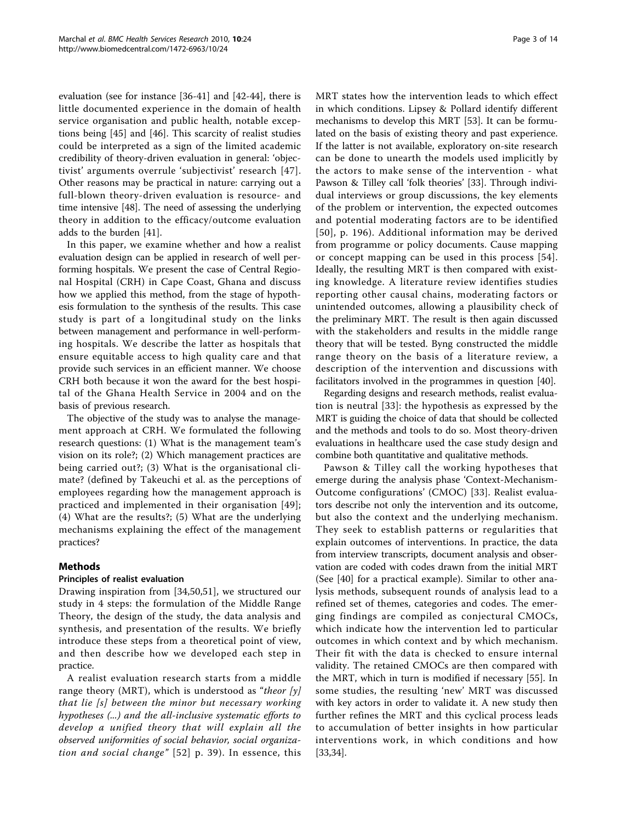evaluation (see for instance [\[36](#page-12-0)-[41\]](#page-12-0) and [[42-44](#page-12-0)], there is little documented experience in the domain of health service organisation and public health, notable exceptions being [\[45](#page-12-0)] and [[46](#page-12-0)]. This scarcity of realist studies could be interpreted as a sign of the limited academic credibility of theory-driven evaluation in general: 'objectivist' arguments overrule 'subjectivist' research [\[47\]](#page-12-0). Other reasons may be practical in nature: carrying out a full-blown theory-driven evaluation is resource- and time intensive [\[48](#page-12-0)]. The need of assessing the underlying theory in addition to the efficacy/outcome evaluation adds to the burden [\[41](#page-12-0)].

In this paper, we examine whether and how a realist evaluation design can be applied in research of well performing hospitals. We present the case of Central Regional Hospital (CRH) in Cape Coast, Ghana and discuss how we applied this method, from the stage of hypothesis formulation to the synthesis of the results. This case study is part of a longitudinal study on the links between management and performance in well-performing hospitals. We describe the latter as hospitals that ensure equitable access to high quality care and that provide such services in an efficient manner. We choose CRH both because it won the award for the best hospital of the Ghana Health Service in 2004 and on the basis of previous research.

The objective of the study was to analyse the management approach at CRH. We formulated the following research questions: (1) What is the management team's vision on its role?; (2) Which management practices are being carried out?; (3) What is the organisational climate? (defined by Takeuchi et al. as the perceptions of employees regarding how the management approach is practiced and implemented in their organisation [[49\]](#page-12-0); (4) What are the results?; (5) What are the underlying mechanisms explaining the effect of the management practices?

## Methods

## Principles of realist evaluation

Drawing inspiration from [[34,50](#page-12-0),[51\]](#page-12-0), we structured our study in 4 steps: the formulation of the Middle Range Theory, the design of the study, the data analysis and synthesis, and presentation of the results. We briefly introduce these steps from a theoretical point of view, and then describe how we developed each step in practice.

A realist evaluation research starts from a middle range theory (MRT), which is understood as "*theor* [y] that lie [s] between the minor but necessary working hypotheses (...) and the all-inclusive systematic efforts to develop a unified theory that will explain all the observed uniformities of social behavior, social organization and social change" [[52\]](#page-12-0) p. 39). In essence, this MRT states how the intervention leads to which effect in which conditions. Lipsey & Pollard identify different mechanisms to develop this MRT [\[53](#page-12-0)]. It can be formulated on the basis of existing theory and past experience. If the latter is not available, exploratory on-site research can be done to unearth the models used implicitly by the actors to make sense of the intervention - what Pawson & Tilley call 'folk theories' [[33](#page-12-0)]. Through individual interviews or group discussions, the key elements of the problem or intervention, the expected outcomes and potential moderating factors are to be identified [[50\]](#page-12-0), p. 196). Additional information may be derived from programme or policy documents. Cause mapping or concept mapping can be used in this process [[54\]](#page-12-0). Ideally, the resulting MRT is then compared with existing knowledge. A literature review identifies studies reporting other causal chains, moderating factors or unintended outcomes, allowing a plausibility check of the preliminary MRT. The result is then again discussed with the stakeholders and results in the middle range theory that will be tested. Byng constructed the middle range theory on the basis of a literature review, a description of the intervention and discussions with facilitators involved in the programmes in question [[40](#page-12-0)].

Regarding designs and research methods, realist evaluation is neutral [[33\]](#page-12-0): the hypothesis as expressed by the MRT is guiding the choice of data that should be collected and the methods and tools to do so. Most theory-driven evaluations in healthcare used the case study design and combine both quantitative and qualitative methods.

Pawson & Tilley call the working hypotheses that emerge during the analysis phase 'Context-Mechanism-Outcome configurations' (CMOC) [[33\]](#page-12-0). Realist evaluators describe not only the intervention and its outcome, but also the context and the underlying mechanism. They seek to establish patterns or regularities that explain outcomes of interventions. In practice, the data from interview transcripts, document analysis and observation are coded with codes drawn from the initial MRT (See [[40\]](#page-12-0) for a practical example). Similar to other analysis methods, subsequent rounds of analysis lead to a refined set of themes, categories and codes. The emerging findings are compiled as conjectural CMOCs, which indicate how the intervention led to particular outcomes in which context and by which mechanism. Their fit with the data is checked to ensure internal validity. The retained CMOCs are then compared with the MRT, which in turn is modified if necessary [\[55](#page-12-0)]. In some studies, the resulting 'new' MRT was discussed with key actors in order to validate it. A new study then further refines the MRT and this cyclical process leads to accumulation of better insights in how particular interventions work, in which conditions and how [[33,34\]](#page-12-0).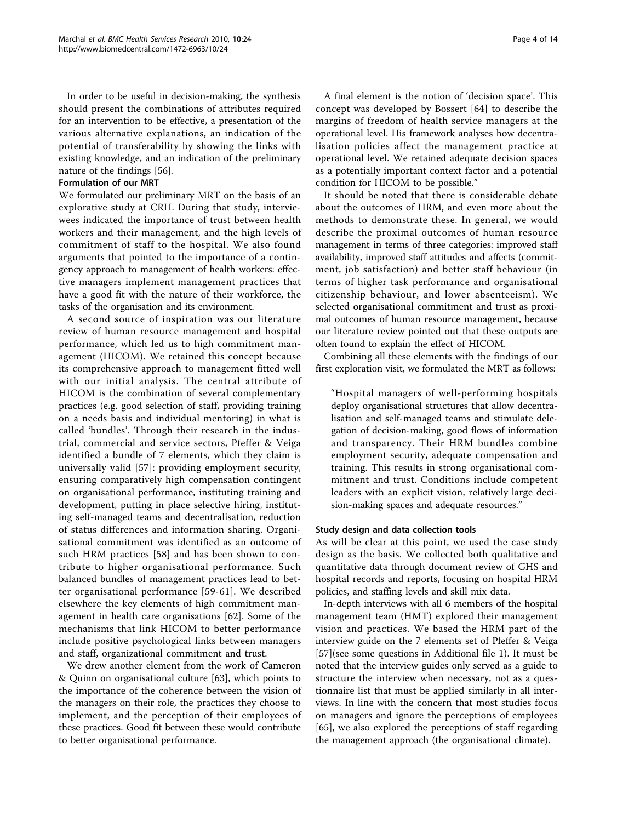In order to be useful in decision-making, the synthesis should present the combinations of attributes required for an intervention to be effective, a presentation of the various alternative explanations, an indication of the potential of transferability by showing the links with existing knowledge, and an indication of the preliminary nature of the findings [\[56\]](#page-12-0).

#### Formulation of our MRT

We formulated our preliminary MRT on the basis of an explorative study at CRH. During that study, interviewees indicated the importance of trust between health workers and their management, and the high levels of commitment of staff to the hospital. We also found arguments that pointed to the importance of a contingency approach to management of health workers: effective managers implement management practices that have a good fit with the nature of their workforce, the tasks of the organisation and its environment.

A second source of inspiration was our literature review of human resource management and hospital performance, which led us to high commitment management (HICOM). We retained this concept because its comprehensive approach to management fitted well with our initial analysis. The central attribute of HICOM is the combination of several complementary practices (e.g. good selection of staff, providing training on a needs basis and individual mentoring) in what is called 'bundles'. Through their research in the industrial, commercial and service sectors, Pfeffer & Veiga identified a bundle of 7 elements, which they claim is universally valid [[57](#page-12-0)]: providing employment security, ensuring comparatively high compensation contingent on organisational performance, instituting training and development, putting in place selective hiring, instituting self-managed teams and decentralisation, reduction of status differences and information sharing. Organisational commitment was identified as an outcome of such HRM practices [[58](#page-12-0)] and has been shown to contribute to higher organisational performance. Such balanced bundles of management practices lead to better organisational performance [[59](#page-12-0)-[61](#page-13-0)]. We described elsewhere the key elements of high commitment management in health care organisations [[62](#page-13-0)]. Some of the mechanisms that link HICOM to better performance include positive psychological links between managers and staff, organizational commitment and trust.

We drew another element from the work of Cameron & Quinn on organisational culture [\[63\]](#page-13-0), which points to the importance of the coherence between the vision of the managers on their role, the practices they choose to implement, and the perception of their employees of these practices. Good fit between these would contribute to better organisational performance.

A final element is the notion of 'decision space'. This concept was developed by Bossert [[64\]](#page-13-0) to describe the margins of freedom of health service managers at the operational level. His framework analyses how decentralisation policies affect the management practice at operational level. We retained adequate decision spaces as a potentially important context factor and a potential condition for HICOM to be possible."

It should be noted that there is considerable debate about the outcomes of HRM, and even more about the methods to demonstrate these. In general, we would describe the proximal outcomes of human resource management in terms of three categories: improved staff availability, improved staff attitudes and affects (commitment, job satisfaction) and better staff behaviour (in terms of higher task performance and organisational citizenship behaviour, and lower absenteeism). We selected organisational commitment and trust as proximal outcomes of human resource management, because our literature review pointed out that these outputs are often found to explain the effect of HICOM.

Combining all these elements with the findings of our first exploration visit, we formulated the MRT as follows:

"Hospital managers of well-performing hospitals deploy organisational structures that allow decentralisation and self-managed teams and stimulate delegation of decision-making, good flows of information and transparency. Their HRM bundles combine employment security, adequate compensation and training. This results in strong organisational commitment and trust. Conditions include competent leaders with an explicit vision, relatively large decision-making spaces and adequate resources."

#### Study design and data collection tools

As will be clear at this point, we used the case study design as the basis. We collected both qualitative and quantitative data through document review of GHS and hospital records and reports, focusing on hospital HRM policies, and staffing levels and skill mix data.

In-depth interviews with all 6 members of the hospital management team (HMT) explored their management vision and practices. We based the HRM part of the interview guide on the 7 elements set of Pfeffer & Veiga [[57\]](#page-12-0)(see some questions in Additional file [1\)](#page-11-0). It must be noted that the interview guides only served as a guide to structure the interview when necessary, not as a questionnaire list that must be applied similarly in all interviews. In line with the concern that most studies focus on managers and ignore the perceptions of employees [[65\]](#page-13-0), we also explored the perceptions of staff regarding the management approach (the organisational climate).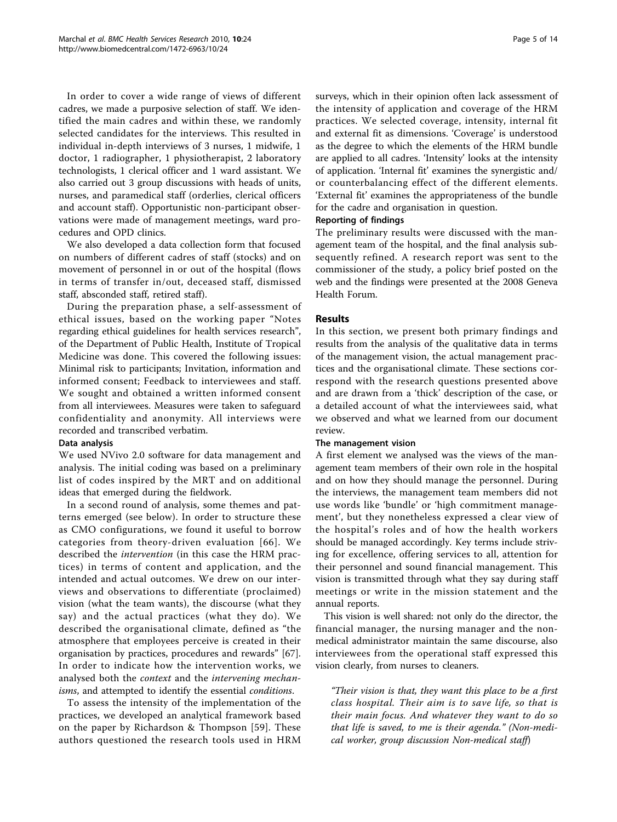In order to cover a wide range of views of different cadres, we made a purposive selection of staff. We identified the main cadres and within these, we randomly selected candidates for the interviews. This resulted in individual in-depth interviews of 3 nurses, 1 midwife, 1 doctor, 1 radiographer, 1 physiotherapist, 2 laboratory technologists, 1 clerical officer and 1 ward assistant. We also carried out 3 group discussions with heads of units, nurses, and paramedical staff (orderlies, clerical officers and account staff). Opportunistic non-participant observations were made of management meetings, ward procedures and OPD clinics.

We also developed a data collection form that focused on numbers of different cadres of staff (stocks) and on movement of personnel in or out of the hospital (flows in terms of transfer in/out, deceased staff, dismissed staff, absconded staff, retired staff).

During the preparation phase, a self-assessment of ethical issues, based on the working paper "Notes regarding ethical guidelines for health services research", of the Department of Public Health, Institute of Tropical Medicine was done. This covered the following issues: Minimal risk to participants; Invitation, information and informed consent; Feedback to interviewees and staff. We sought and obtained a written informed consent from all interviewees. Measures were taken to safeguard confidentiality and anonymity. All interviews were recorded and transcribed verbatim.

#### Data analysis

We used NVivo 2.0 software for data management and analysis. The initial coding was based on a preliminary list of codes inspired by the MRT and on additional ideas that emerged during the fieldwork.

In a second round of analysis, some themes and patterns emerged (see below). In order to structure these as CMO configurations, we found it useful to borrow categories from theory-driven evaluation [[66\]](#page-13-0). We described the intervention (in this case the HRM practices) in terms of content and application, and the intended and actual outcomes. We drew on our interviews and observations to differentiate (proclaimed) vision (what the team wants), the discourse (what they say) and the actual practices (what they do). We described the organisational climate, defined as "the atmosphere that employees perceive is created in their organisation by practices, procedures and rewards" [\[67](#page-13-0)]. In order to indicate how the intervention works, we analysed both the context and the intervening mechanisms, and attempted to identify the essential *conditions*.

To assess the intensity of the implementation of the practices, we developed an analytical framework based on the paper by Richardson & Thompson [[59\]](#page-12-0). These authors questioned the research tools used in HRM surveys, which in their opinion often lack assessment of the intensity of application and coverage of the HRM practices. We selected coverage, intensity, internal fit and external fit as dimensions. 'Coverage' is understood as the degree to which the elements of the HRM bundle are applied to all cadres. 'Intensity' looks at the intensity of application. 'Internal fit' examines the synergistic and/ or counterbalancing effect of the different elements. 'External fit' examines the appropriateness of the bundle for the cadre and organisation in question.

## Reporting of findings

The preliminary results were discussed with the management team of the hospital, and the final analysis subsequently refined. A research report was sent to the commissioner of the study, a policy brief posted on the web and the findings were presented at the 2008 Geneva Health Forum.

## Results

In this section, we present both primary findings and results from the analysis of the qualitative data in terms of the management vision, the actual management practices and the organisational climate. These sections correspond with the research questions presented above and are drawn from a 'thick' description of the case, or a detailed account of what the interviewees said, what we observed and what we learned from our document review.

## The management vision

A first element we analysed was the views of the management team members of their own role in the hospital and on how they should manage the personnel. During the interviews, the management team members did not use words like 'bundle' or 'high commitment management', but they nonetheless expressed a clear view of the hospital's roles and of how the health workers should be managed accordingly. Key terms include striving for excellence, offering services to all, attention for their personnel and sound financial management. This vision is transmitted through what they say during staff meetings or write in the mission statement and the annual reports.

This vision is well shared: not only do the director, the financial manager, the nursing manager and the nonmedical administrator maintain the same discourse, also interviewees from the operational staff expressed this vision clearly, from nurses to cleaners.

"Their vision is that, they want this place to be a first class hospital. Their aim is to save life, so that is their main focus. And whatever they want to do so that life is saved, to me is their agenda." (Non-medical worker, group discussion Non-medical staff)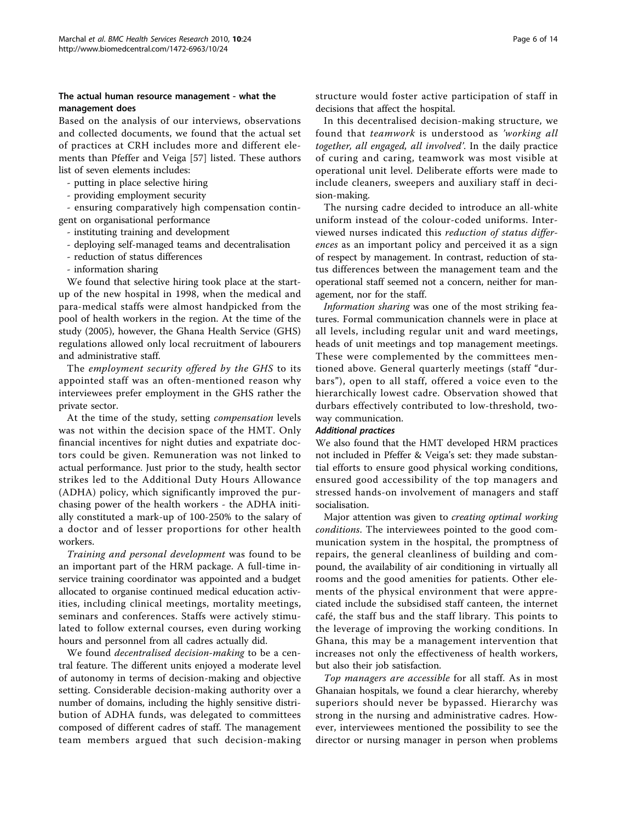## The actual human resource management - what the management does

Based on the analysis of our interviews, observations and collected documents, we found that the actual set of practices at CRH includes more and different elements than Pfeffer and Veiga [[57\]](#page-12-0) listed. These authors list of seven elements includes:

- putting in place selective hiring
- providing employment security

- ensuring comparatively high compensation contingent on organisational performance

- instituting training and development
- deploying self-managed teams and decentralisation
- reduction of status differences
- information sharing

We found that selective hiring took place at the startup of the new hospital in 1998, when the medical and para-medical staffs were almost handpicked from the pool of health workers in the region. At the time of the study (2005), however, the Ghana Health Service (GHS) regulations allowed only local recruitment of labourers and administrative staff.

The employment security offered by the GHS to its appointed staff was an often-mentioned reason why interviewees prefer employment in the GHS rather the private sector.

At the time of the study, setting compensation levels was not within the decision space of the HMT. Only financial incentives for night duties and expatriate doctors could be given. Remuneration was not linked to actual performance. Just prior to the study, health sector strikes led to the Additional Duty Hours Allowance (ADHA) policy, which significantly improved the purchasing power of the health workers - the ADHA initially constituted a mark-up of 100-250% to the salary of a doctor and of lesser proportions for other health workers.

Training and personal development was found to be an important part of the HRM package. A full-time inservice training coordinator was appointed and a budget allocated to organise continued medical education activities, including clinical meetings, mortality meetings, seminars and conferences. Staffs were actively stimulated to follow external courses, even during working hours and personnel from all cadres actually did.

We found *decentralised decision-making* to be a central feature. The different units enjoyed a moderate level of autonomy in terms of decision-making and objective setting. Considerable decision-making authority over a number of domains, including the highly sensitive distribution of ADHA funds, was delegated to committees composed of different cadres of staff. The management team members argued that such decision-making structure would foster active participation of staff in decisions that affect the hospital.

In this decentralised decision-making structure, we found that teamwork is understood as 'working all together, all engaged, all involved'. In the daily practice of curing and caring, teamwork was most visible at operational unit level. Deliberate efforts were made to include cleaners, sweepers and auxiliary staff in decision-making.

The nursing cadre decided to introduce an all-white uniform instead of the colour-coded uniforms. Interviewed nurses indicated this reduction of status differences as an important policy and perceived it as a sign of respect by management. In contrast, reduction of status differences between the management team and the operational staff seemed not a concern, neither for management, nor for the staff.

Information sharing was one of the most striking features. Formal communication channels were in place at all levels, including regular unit and ward meetings, heads of unit meetings and top management meetings. These were complemented by the committees mentioned above. General quarterly meetings (staff "durbars"), open to all staff, offered a voice even to the hierarchically lowest cadre. Observation showed that durbars effectively contributed to low-threshold, twoway communication.

#### Additional practices

We also found that the HMT developed HRM practices not included in Pfeffer & Veiga's set: they made substantial efforts to ensure good physical working conditions, ensured good accessibility of the top managers and stressed hands-on involvement of managers and staff socialisation.

Major attention was given to creating optimal working conditions. The interviewees pointed to the good communication system in the hospital, the promptness of repairs, the general cleanliness of building and compound, the availability of air conditioning in virtually all rooms and the good amenities for patients. Other elements of the physical environment that were appreciated include the subsidised staff canteen, the internet café, the staff bus and the staff library. This points to the leverage of improving the working conditions. In Ghana, this may be a management intervention that increases not only the effectiveness of health workers, but also their job satisfaction.

Top managers are accessible for all staff. As in most Ghanaian hospitals, we found a clear hierarchy, whereby superiors should never be bypassed. Hierarchy was strong in the nursing and administrative cadres. However, interviewees mentioned the possibility to see the director or nursing manager in person when problems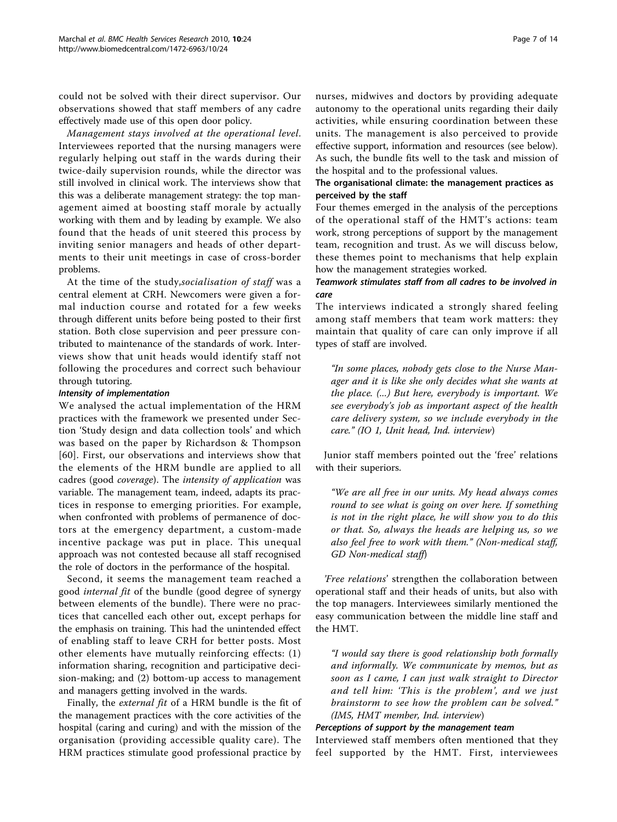could not be solved with their direct supervisor. Our observations showed that staff members of any cadre effectively made use of this open door policy.

Management stays involved at the operational level. Interviewees reported that the nursing managers were regularly helping out staff in the wards during their twice-daily supervision rounds, while the director was still involved in clinical work. The interviews show that this was a deliberate management strategy: the top management aimed at boosting staff morale by actually working with them and by leading by example. We also found that the heads of unit steered this process by inviting senior managers and heads of other departments to their unit meetings in case of cross-border problems.

At the time of the study,socialisation of staff was a central element at CRH. Newcomers were given a formal induction course and rotated for a few weeks through different units before being posted to their first station. Both close supervision and peer pressure contributed to maintenance of the standards of work. Interviews show that unit heads would identify staff not following the procedures and correct such behaviour through tutoring.

#### Intensity of implementation

We analysed the actual implementation of the HRM practices with the framework we presented under Section 'Study design and data collection tools' and which was based on the paper by Richardson & Thompson [[60](#page-12-0)]. First, our observations and interviews show that the elements of the HRM bundle are applied to all cadres (good coverage). The intensity of application was variable. The management team, indeed, adapts its practices in response to emerging priorities. For example, when confronted with problems of permanence of doctors at the emergency department, a custom-made incentive package was put in place. This unequal approach was not contested because all staff recognised the role of doctors in the performance of the hospital.

Second, it seems the management team reached a good internal fit of the bundle (good degree of synergy between elements of the bundle). There were no practices that cancelled each other out, except perhaps for the emphasis on training. This had the unintended effect of enabling staff to leave CRH for better posts. Most other elements have mutually reinforcing effects: (1) information sharing, recognition and participative decision-making; and (2) bottom-up access to management and managers getting involved in the wards.

Finally, the external fit of a HRM bundle is the fit of the management practices with the core activities of the hospital (caring and curing) and with the mission of the organisation (providing accessible quality care). The HRM practices stimulate good professional practice by

nurses, midwives and doctors by providing adequate autonomy to the operational units regarding their daily activities, while ensuring coordination between these units. The management is also perceived to provide effective support, information and resources (see below). As such, the bundle fits well to the task and mission of the hospital and to the professional values.

## The organisational climate: the management practices as perceived by the staff

Four themes emerged in the analysis of the perceptions of the operational staff of the HMT's actions: team work, strong perceptions of support by the management team, recognition and trust. As we will discuss below, these themes point to mechanisms that help explain how the management strategies worked.

## Teamwork stimulates staff from all cadres to be involved in care

The interviews indicated a strongly shared feeling among staff members that team work matters: they maintain that quality of care can only improve if all types of staff are involved.

"In some places, nobody gets close to the Nurse Manager and it is like she only decides what she wants at the place. (...) But here, everybody is important. We see everybody's job as important aspect of the health care delivery system, so we include everybody in the care." (IO 1, Unit head, Ind. interview)

Junior staff members pointed out the 'free' relations with their superiors.

"We are all free in our units. My head always comes round to see what is going on over here. If something is not in the right place, he will show you to do this or that. So, always the heads are helping us, so we also feel free to work with them." (Non-medical staff, GD Non-medical staff)

'Free relations' strengthen the collaboration between operational staff and their heads of units, but also with the top managers. Interviewees similarly mentioned the easy communication between the middle line staff and the HMT.

"I would say there is good relationship both formally and informally. We communicate by memos, but as soon as I came, I can just walk straight to Director and tell him: 'This is the problem', and we just brainstorm to see how the problem can be solved." (IM5, HMT member, Ind. interview)

#### Perceptions of support by the management team

Interviewed staff members often mentioned that they feel supported by the HMT. First, interviewees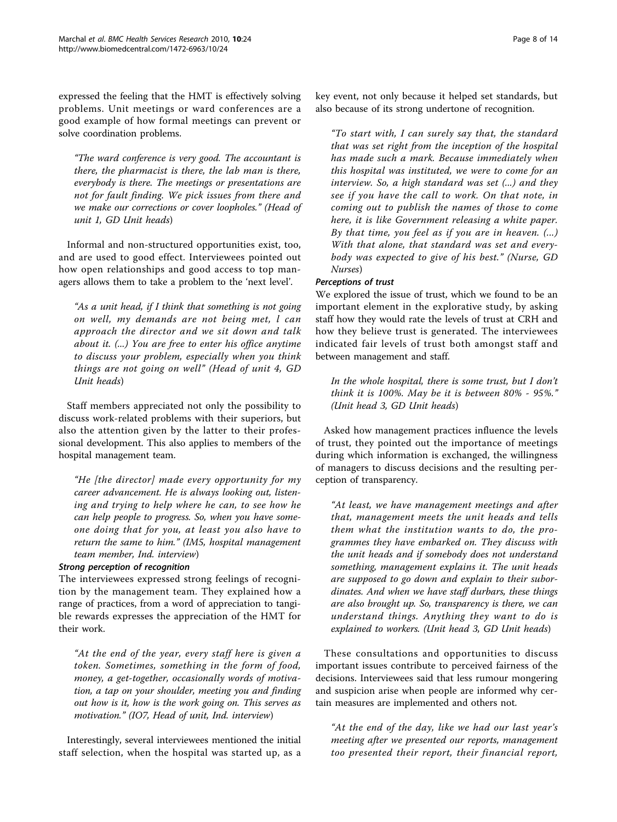expressed the feeling that the HMT is effectively solving problems. Unit meetings or ward conferences are a good example of how formal meetings can prevent or solve coordination problems.

"The ward conference is very good. The accountant is there, the pharmacist is there, the lab man is there, everybody is there. The meetings or presentations are not for fault finding. We pick issues from there and we make our corrections or cover loopholes." (Head of unit 1, GD Unit heads)

Informal and non-structured opportunities exist, too, and are used to good effect. Interviewees pointed out how open relationships and good access to top managers allows them to take a problem to the 'next level'.

"As a unit head, if I think that something is not going on well, my demands are not being met, l can approach the director and we sit down and talk about it. (...) You are free to enter his office anytime to discuss your problem, especially when you think things are not going on well" (Head of unit 4, GD Unit heads)

Staff members appreciated not only the possibility to discuss work-related problems with their superiors, but also the attention given by the latter to their professional development. This also applies to members of the hospital management team.

"He [the director] made every opportunity for my career advancement. He is always looking out, listening and trying to help where he can, to see how he can help people to progress. So, when you have someone doing that for you, at least you also have to return the same to him." (IM5, hospital management team member, Ind. interview)

#### Strong perception of recognition

The interviewees expressed strong feelings of recognition by the management team. They explained how a range of practices, from a word of appreciation to tangible rewards expresses the appreciation of the HMT for their work.

"At the end of the year, every staff here is given a token. Sometimes, something in the form of food, money, a get-together, occasionally words of motivation, a tap on your shoulder, meeting you and finding out how is it, how is the work going on. This serves as motivation." (IO7, Head of unit, Ind. interview)

Interestingly, several interviewees mentioned the initial staff selection, when the hospital was started up, as a key event, not only because it helped set standards, but also because of its strong undertone of recognition.

"To start with, I can surely say that, the standard that was set right from the inception of the hospital has made such a mark. Because immediately when this hospital was instituted, we were to come for an interview. So, a high standard was set (...) and they see if you have the call to work. On that note, in coming out to publish the names of those to come here, it is like Government releasing a white paper. By that time, you feel as if you are in heaven.  $(...)$ With that alone, that standard was set and everybody was expected to give of his best." (Nurse, GD Nurses)

## Perceptions of trust

We explored the issue of trust, which we found to be an important element in the explorative study, by asking staff how they would rate the levels of trust at CRH and how they believe trust is generated. The interviewees indicated fair levels of trust both amongst staff and between management and staff.

In the whole hospital, there is some trust, but I don't think it is 100%. May be it is between 80% - 95%." (Unit head 3, GD Unit heads)

Asked how management practices influence the levels of trust, they pointed out the importance of meetings during which information is exchanged, the willingness of managers to discuss decisions and the resulting perception of transparency.

"At least, we have management meetings and after that, management meets the unit heads and tells them what the institution wants to do, the programmes they have embarked on. They discuss with the unit heads and if somebody does not understand something, management explains it. The unit heads are supposed to go down and explain to their subordinates. And when we have staff durbars, these things are also brought up. So, transparency is there, we can understand things. Anything they want to do is explained to workers. (Unit head 3, GD Unit heads)

These consultations and opportunities to discuss important issues contribute to perceived fairness of the decisions. Interviewees said that less rumour mongering and suspicion arise when people are informed why certain measures are implemented and others not.

"At the end of the day, like we had our last year's meeting after we presented our reports, management too presented their report, their financial report,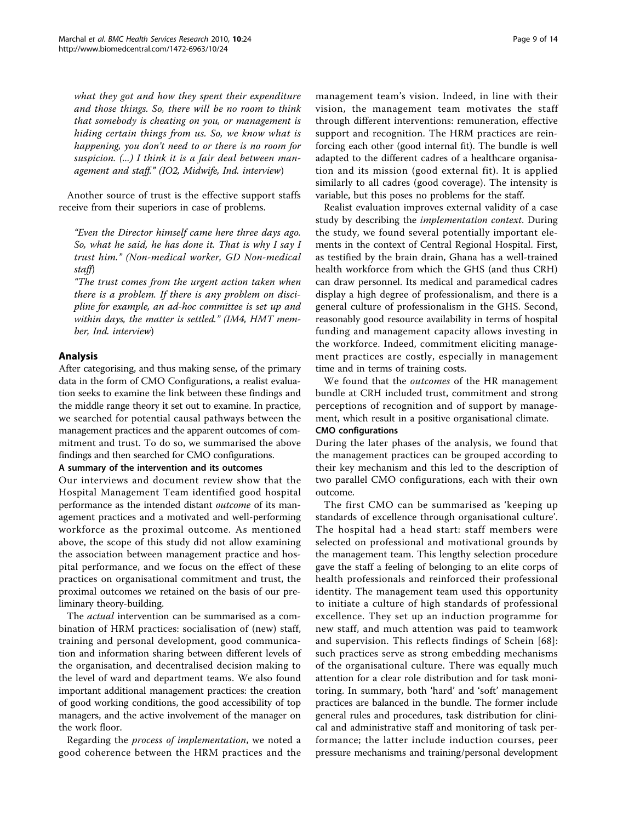what they got and how they spent their expenditure and those things. So, there will be no room to think that somebody is cheating on you, or management is hiding certain things from us. So, we know what is happening, you don't need to or there is no room for suspicion. (...) I think it is a fair deal between management and staff." (IO2, Midwife, Ind. interview)

Another source of trust is the effective support staffs receive from their superiors in case of problems.

"Even the Director himself came here three days ago. So, what he said, he has done it. That is why I say I trust him." (Non-medical worker, GD Non-medical staff)

"The trust comes from the urgent action taken when there is a problem. If there is any problem on discipline for example, an ad-hoc committee is set up and within days, the matter is settled." (IM4, HMT member, Ind. interview)

## Analysis

After categorising, and thus making sense, of the primary data in the form of CMO Configurations, a realist evaluation seeks to examine the link between these findings and the middle range theory it set out to examine. In practice, we searched for potential causal pathways between the management practices and the apparent outcomes of commitment and trust. To do so, we summarised the above findings and then searched for CMO configurations.

A summary of the intervention and its outcomes

Our interviews and document review show that the Hospital Management Team identified good hospital performance as the intended distant outcome of its management practices and a motivated and well-performing workforce as the proximal outcome. As mentioned above, the scope of this study did not allow examining the association between management practice and hospital performance, and we focus on the effect of these practices on organisational commitment and trust, the proximal outcomes we retained on the basis of our preliminary theory-building.

The actual intervention can be summarised as a combination of HRM practices: socialisation of (new) staff, training and personal development, good communication and information sharing between different levels of the organisation, and decentralised decision making to the level of ward and department teams. We also found important additional management practices: the creation of good working conditions, the good accessibility of top managers, and the active involvement of the manager on the work floor.

Regarding the process of implementation, we noted a good coherence between the HRM practices and the management team's vision. Indeed, in line with their vision, the management team motivates the staff through different interventions: remuneration, effective support and recognition. The HRM practices are reinforcing each other (good internal fit). The bundle is well adapted to the different cadres of a healthcare organisation and its mission (good external fit). It is applied similarly to all cadres (good coverage). The intensity is variable, but this poses no problems for the staff.

Realist evaluation improves external validity of a case study by describing the implementation context. During the study, we found several potentially important elements in the context of Central Regional Hospital. First, as testified by the brain drain, Ghana has a well-trained health workforce from which the GHS (and thus CRH) can draw personnel. Its medical and paramedical cadres display a high degree of professionalism, and there is a general culture of professionalism in the GHS. Second, reasonably good resource availability in terms of hospital funding and management capacity allows investing in the workforce. Indeed, commitment eliciting management practices are costly, especially in management time and in terms of training costs.

We found that the *outcomes* of the HR management bundle at CRH included trust, commitment and strong perceptions of recognition and of support by management, which result in a positive organisational climate.

#### CMO configurations

During the later phases of the analysis, we found that the management practices can be grouped according to their key mechanism and this led to the description of two parallel CMO configurations, each with their own outcome.

The first CMO can be summarised as 'keeping up standards of excellence through organisational culture'. The hospital had a head start: staff members were selected on professional and motivational grounds by the management team. This lengthy selection procedure gave the staff a feeling of belonging to an elite corps of health professionals and reinforced their professional identity. The management team used this opportunity to initiate a culture of high standards of professional excellence. They set up an induction programme for new staff, and much attention was paid to teamwork and supervision. This reflects findings of Schein [[68](#page-13-0)]: such practices serve as strong embedding mechanisms of the organisational culture. There was equally much attention for a clear role distribution and for task monitoring. In summary, both 'hard' and 'soft' management practices are balanced in the bundle. The former include general rules and procedures, task distribution for clinical and administrative staff and monitoring of task performance; the latter include induction courses, peer pressure mechanisms and training/personal development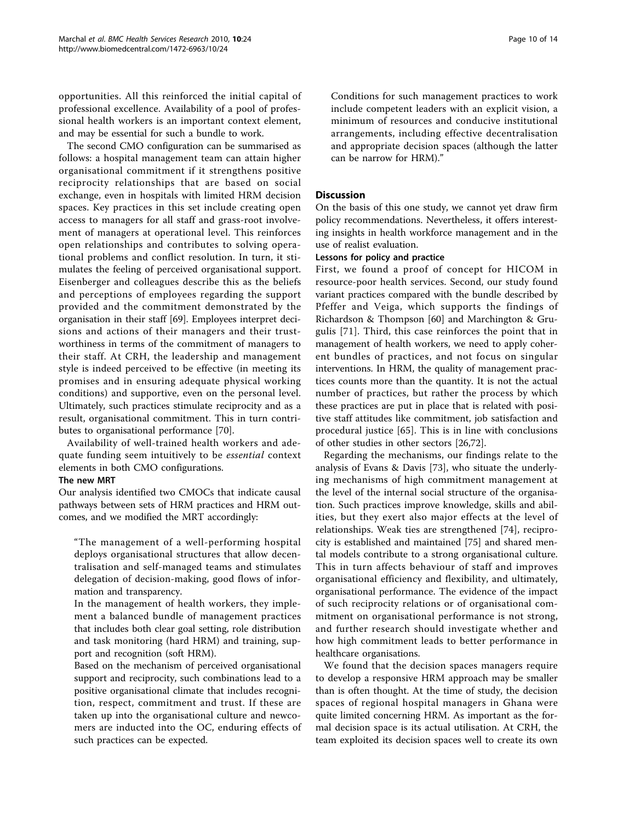opportunities. All this reinforced the initial capital of professional excellence. Availability of a pool of professional health workers is an important context element, and may be essential for such a bundle to work.

The second CMO configuration can be summarised as follows: a hospital management team can attain higher organisational commitment if it strengthens positive reciprocity relationships that are based on social exchange, even in hospitals with limited HRM decision spaces. Key practices in this set include creating open access to managers for all staff and grass-root involvement of managers at operational level. This reinforces open relationships and contributes to solving operational problems and conflict resolution. In turn, it stimulates the feeling of perceived organisational support. Eisenberger and colleagues describe this as the beliefs and perceptions of employees regarding the support provided and the commitment demonstrated by the organisation in their staff [[69\]](#page-13-0). Employees interpret decisions and actions of their managers and their trustworthiness in terms of the commitment of managers to their staff. At CRH, the leadership and management style is indeed perceived to be effective (in meeting its promises and in ensuring adequate physical working conditions) and supportive, even on the personal level. Ultimately, such practices stimulate reciprocity and as a result, organisational commitment. This in turn contributes to organisational performance [\[70\]](#page-13-0).

Availability of well-trained health workers and adequate funding seem intuitively to be *essential* context elements in both CMO configurations.

#### The new MRT

Our analysis identified two CMOCs that indicate causal pathways between sets of HRM practices and HRM outcomes, and we modified the MRT accordingly:

"The management of a well-performing hospital deploys organisational structures that allow decentralisation and self-managed teams and stimulates delegation of decision-making, good flows of information and transparency.

In the management of health workers, they implement a balanced bundle of management practices that includes both clear goal setting, role distribution and task monitoring (hard HRM) and training, support and recognition (soft HRM).

Based on the mechanism of perceived organisational support and reciprocity, such combinations lead to a positive organisational climate that includes recognition, respect, commitment and trust. If these are taken up into the organisational culture and newcomers are inducted into the OC, enduring effects of such practices can be expected.

Conditions for such management practices to work include competent leaders with an explicit vision, a minimum of resources and conducive institutional arrangements, including effective decentralisation and appropriate decision spaces (although the latter can be narrow for HRM)."

#### **Discussion**

On the basis of this one study, we cannot yet draw firm policy recommendations. Nevertheless, it offers interesting insights in health workforce management and in the use of realist evaluation.

## Lessons for policy and practice

First, we found a proof of concept for HICOM in resource-poor health services. Second, our study found variant practices compared with the bundle described by Pfeffer and Veiga, which supports the findings of Richardson & Thompson [\[60](#page-12-0)] and Marchington & Grugulis [\[71\]](#page-13-0). Third, this case reinforces the point that in management of health workers, we need to apply coherent bundles of practices, and not focus on singular interventions. In HRM, the quality of management practices counts more than the quantity. It is not the actual number of practices, but rather the process by which these practices are put in place that is related with positive staff attitudes like commitment, job satisfaction and procedural justice [[65\]](#page-13-0). This is in line with conclusions of other studies in other sectors [[26](#page-12-0),[72](#page-13-0)].

Regarding the mechanisms, our findings relate to the analysis of Evans & Davis [[73\]](#page-13-0), who situate the underlying mechanisms of high commitment management at the level of the internal social structure of the organisation. Such practices improve knowledge, skills and abilities, but they exert also major effects at the level of relationships. Weak ties are strengthened [\[74](#page-13-0)], reciprocity is established and maintained [[75\]](#page-13-0) and shared mental models contribute to a strong organisational culture. This in turn affects behaviour of staff and improves organisational efficiency and flexibility, and ultimately, organisational performance. The evidence of the impact of such reciprocity relations or of organisational commitment on organisational performance is not strong, and further research should investigate whether and how high commitment leads to better performance in healthcare organisations.

We found that the decision spaces managers require to develop a responsive HRM approach may be smaller than is often thought. At the time of study, the decision spaces of regional hospital managers in Ghana were quite limited concerning HRM. As important as the formal decision space is its actual utilisation. At CRH, the team exploited its decision spaces well to create its own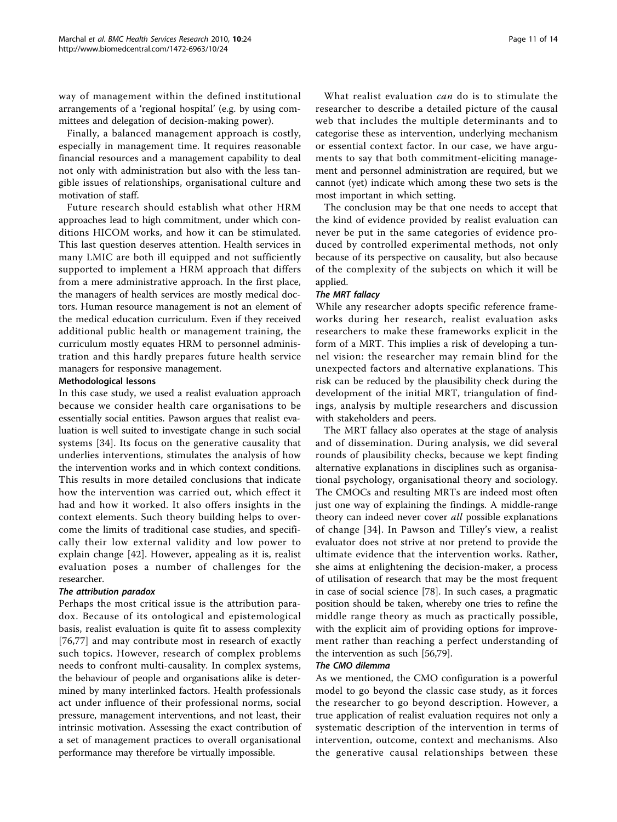way of management within the defined institutional arrangements of a 'regional hospital' (e.g. by using committees and delegation of decision-making power).

Finally, a balanced management approach is costly, especially in management time. It requires reasonable financial resources and a management capability to deal not only with administration but also with the less tangible issues of relationships, organisational culture and motivation of staff.

Future research should establish what other HRM approaches lead to high commitment, under which conditions HICOM works, and how it can be stimulated. This last question deserves attention. Health services in many LMIC are both ill equipped and not sufficiently supported to implement a HRM approach that differs from a mere administrative approach. In the first place, the managers of health services are mostly medical doctors. Human resource management is not an element of the medical education curriculum. Even if they received additional public health or management training, the curriculum mostly equates HRM to personnel administration and this hardly prepares future health service managers for responsive management.

#### Methodological lessons

In this case study, we used a realist evaluation approach because we consider health care organisations to be essentially social entities. Pawson argues that realist evaluation is well suited to investigate change in such social systems [\[34](#page-12-0)]. Its focus on the generative causality that underlies interventions, stimulates the analysis of how the intervention works and in which context conditions. This results in more detailed conclusions that indicate how the intervention was carried out, which effect it had and how it worked. It also offers insights in the context elements. Such theory building helps to overcome the limits of traditional case studies, and specifically their low external validity and low power to explain change [\[42](#page-12-0)]. However, appealing as it is, realist evaluation poses a number of challenges for the researcher.

#### The attribution paradox

Perhaps the most critical issue is the attribution paradox. Because of its ontological and epistemological basis, realist evaluation is quite fit to assess complexity [[76,77](#page-13-0)] and may contribute most in research of exactly such topics. However, research of complex problems needs to confront multi-causality. In complex systems, the behaviour of people and organisations alike is determined by many interlinked factors. Health professionals act under influence of their professional norms, social pressure, management interventions, and not least, their intrinsic motivation. Assessing the exact contribution of a set of management practices to overall organisational performance may therefore be virtually impossible.

What realist evaluation *can* do is to stimulate the researcher to describe a detailed picture of the causal web that includes the multiple determinants and to categorise these as intervention, underlying mechanism or essential context factor. In our case, we have arguments to say that both commitment-eliciting management and personnel administration are required, but we cannot (yet) indicate which among these two sets is the most important in which setting.

The conclusion may be that one needs to accept that the kind of evidence provided by realist evaluation can never be put in the same categories of evidence produced by controlled experimental methods, not only because of its perspective on causality, but also because of the complexity of the subjects on which it will be applied.

#### The MRT fallacy

While any researcher adopts specific reference frameworks during her research, realist evaluation asks researchers to make these frameworks explicit in the form of a MRT. This implies a risk of developing a tunnel vision: the researcher may remain blind for the unexpected factors and alternative explanations. This risk can be reduced by the plausibility check during the development of the initial MRT, triangulation of findings, analysis by multiple researchers and discussion with stakeholders and peers.

The MRT fallacy also operates at the stage of analysis and of dissemination. During analysis, we did several rounds of plausibility checks, because we kept finding alternative explanations in disciplines such as organisational psychology, organisational theory and sociology. The CMOCs and resulting MRTs are indeed most often just one way of explaining the findings. A middle-range theory can indeed never cover all possible explanations of change [[34\]](#page-12-0). In Pawson and Tilley's view, a realist evaluator does not strive at nor pretend to provide the ultimate evidence that the intervention works. Rather, she aims at enlightening the decision-maker, a process of utilisation of research that may be the most frequent in case of social science [\[78](#page-13-0)]. In such cases, a pragmatic position should be taken, whereby one tries to refine the middle range theory as much as practically possible, with the explicit aim of providing options for improvement rather than reaching a perfect understanding of the intervention as such [\[56,](#page-12-0)[79\]](#page-13-0).

## The CMO dilemma

As we mentioned, the CMO configuration is a powerful model to go beyond the classic case study, as it forces the researcher to go beyond description. However, a true application of realist evaluation requires not only a systematic description of the intervention in terms of intervention, outcome, context and mechanisms. Also the generative causal relationships between these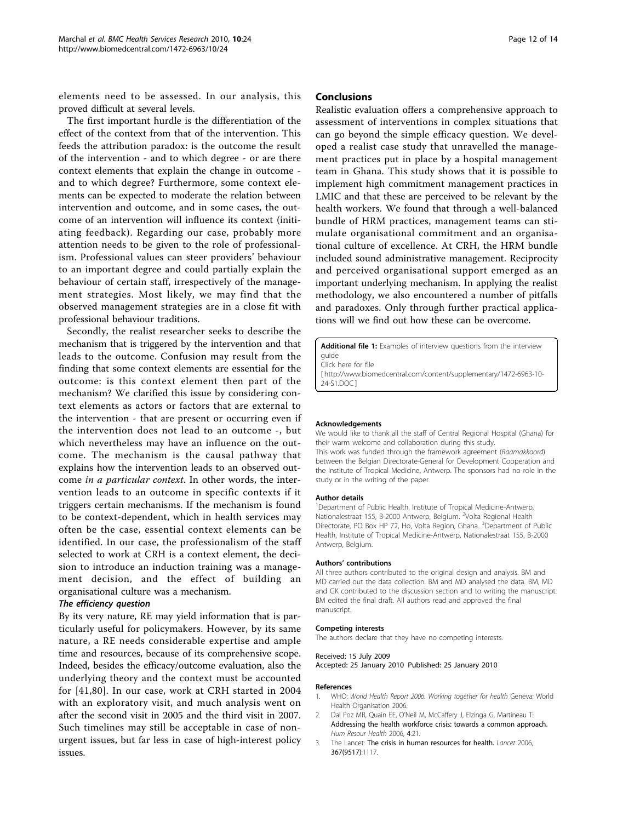<span id="page-11-0"></span>elements need to be assessed. In our analysis, this proved difficult at several levels.

The first important hurdle is the differentiation of the effect of the context from that of the intervention. This feeds the attribution paradox: is the outcome the result of the intervention - and to which degree - or are there context elements that explain the change in outcome and to which degree? Furthermore, some context elements can be expected to moderate the relation between intervention and outcome, and in some cases, the outcome of an intervention will influence its context (initiating feedback). Regarding our case, probably more attention needs to be given to the role of professionalism. Professional values can steer providers' behaviour to an important degree and could partially explain the behaviour of certain staff, irrespectively of the management strategies. Most likely, we may find that the observed management strategies are in a close fit with professional behaviour traditions.

Secondly, the realist researcher seeks to describe the mechanism that is triggered by the intervention and that leads to the outcome. Confusion may result from the finding that some context elements are essential for the outcome: is this context element then part of the mechanism? We clarified this issue by considering context elements as actors or factors that are external to the intervention - that are present or occurring even if the intervention does not lead to an outcome -, but which nevertheless may have an influence on the outcome. The mechanism is the causal pathway that explains how the intervention leads to an observed outcome in a particular context. In other words, the intervention leads to an outcome in specific contexts if it triggers certain mechanisms. If the mechanism is found to be context-dependent, which in health services may often be the case, essential context elements can be identified. In our case, the professionalism of the staff selected to work at CRH is a context element, the decision to introduce an induction training was a management decision, and the effect of building an organisational culture was a mechanism.

#### The efficiency question

By its very nature, RE may yield information that is particularly useful for policymakers. However, by its same nature, a RE needs considerable expertise and ample time and resources, because of its comprehensive scope. Indeed, besides the efficacy/outcome evaluation, also the underlying theory and the context must be accounted for [[41](#page-12-0),[80](#page-13-0)]. In our case, work at CRH started in 2004 with an exploratory visit, and much analysis went on after the second visit in 2005 and the third visit in 2007. Such timelines may still be acceptable in case of nonurgent issues, but far less in case of high-interest policy issues.

#### Conclusions

Realistic evaluation offers a comprehensive approach to assessment of interventions in complex situations that can go beyond the simple efficacy question. We developed a realist case study that unravelled the management practices put in place by a hospital management team in Ghana. This study shows that it is possible to implement high commitment management practices in LMIC and that these are perceived to be relevant by the health workers. We found that through a well-balanced bundle of HRM practices, management teams can stimulate organisational commitment and an organisational culture of excellence. At CRH, the HRM bundle included sound administrative management. Reciprocity and perceived organisational support emerged as an important underlying mechanism. In applying the realist methodology, we also encountered a number of pitfalls and paradoxes. Only through further practical applications will we find out how these can be overcome.

Additional file 1: Examples of interview questions from the interview guide Click here for file [ http://www.biomedcentral.com/content/supplementary/1472-6963-10- 24-S1.DOC ]

#### Acknowledgements

We would like to thank all the staff of Central Regional Hospital (Ghana) for their warm welcome and collaboration during this study. This work was funded through the framework agreement (Raamakkoord) between the Belgian Directorate-General for Development Cooperation and the Institute of Tropical Medicine, Antwerp. The sponsors had no role in the study or in the writing of the paper.

#### Author details

<sup>1</sup>Department of Public Health, Institute of Tropical Medicine-Antwerp, Nationalestraat 155, B-2000 Antwerp, Belgium. <sup>2</sup>Volta Regional Health Directorate, PO Box HP 72, Ho, Volta Region, Ghana. <sup>3</sup>Department of Public Health, Institute of Tropical Medicine-Antwerp, Nationalestraat 155, B-2000 Antwerp, Belgium.

#### Authors' contributions

All three authors contributed to the original design and analysis. BM and MD carried out the data collection. BM and MD analysed the data. BM, MD and GK contributed to the discussion section and to writing the manuscript. BM edited the final draft. All authors read and approved the final manuscript.

#### Competing interests

The authors declare that they have no competing interests.

#### Received: 15 July 2009

Accepted: 25 January 2010 Published: 25 January 2010

#### References

- 1. WHO: World Health Report 2006. Working together for health Geneva: World Health Organisation 2006.
- 2. Dal Poz MR, Quain EE, O'Neil M, McCaffery J, Elzinga G, Martineau T: [Addressing the health workforce crisis: towards a common approach.](http://www.ncbi.nlm.nih.gov/pubmed/16887029?dopt=Abstract) Hum Resour Health 2006, 4:21.
- 3. The Lancet: [The crisis in human resources for health.](http://www.ncbi.nlm.nih.gov/pubmed/16616539?dopt=Abstract) Lancet 2006, 367(9517):1117.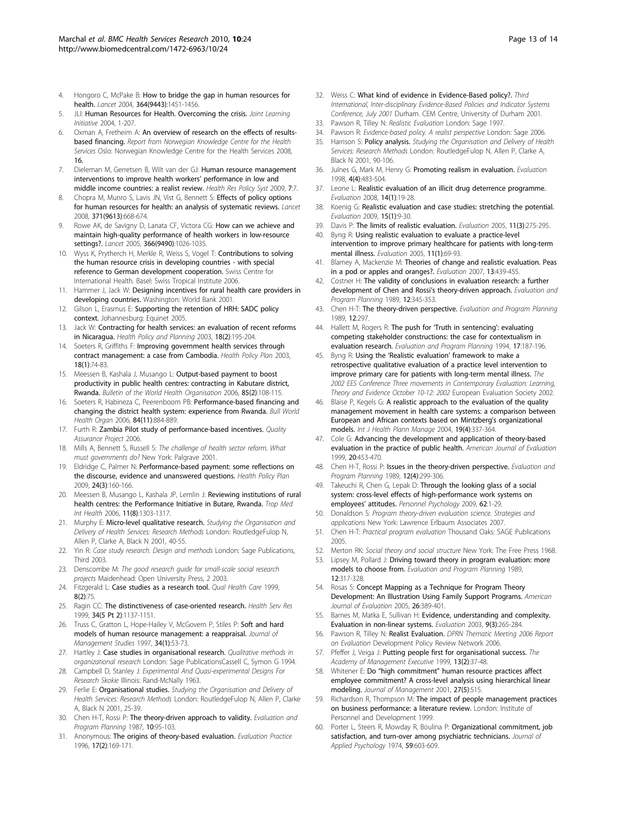- <span id="page-12-0"></span>4. Hongoro C, McPake B: [How to bridge the gap in human resources for](http://www.ncbi.nlm.nih.gov/pubmed/15488222?dopt=Abstract) [health.](http://www.ncbi.nlm.nih.gov/pubmed/15488222?dopt=Abstract) Lancet 2004, 364(9443):1451-1456.
- JLI: Human Resources for Health. Overcoming the crisis. Joint Learning Initiative 2004, 1-207.
- 6. Oxman A, Fretheim A: An overview of research on the effects of resultsbased financing. Report from Norwegian Knowledge Centre for the Health Services Oslo: Norwegian Knowledge Centre for the Health Services 2008, 16.
- 7. Dieleman M, Gerretsen B, Wilt van der GJ: [Human resource management](http://www.ncbi.nlm.nih.gov/pubmed/19374734?dopt=Abstract) [interventions to improve health workers](http://www.ncbi.nlm.nih.gov/pubmed/19374734?dopt=Abstract)' performance in low and [middle income countries: a realist review.](http://www.ncbi.nlm.nih.gov/pubmed/19374734?dopt=Abstract) Health Res Policy Syst 2009, 7:7.
- 8. Chopra M, Munro S, Lavis JN, Vist G, Bennett S: [Effects of policy options](http://www.ncbi.nlm.nih.gov/pubmed/18295024?dopt=Abstract) [for human resources for health: an analysis of systematic reviews.](http://www.ncbi.nlm.nih.gov/pubmed/18295024?dopt=Abstract) Lancet 2008, 371(9613):668-674.
- 9. Rowe AK, de Savigny D, Lanata CF, Victora CG: [How can we achieve and](http://www.ncbi.nlm.nih.gov/pubmed/16168785?dopt=Abstract) [maintain high-quality performance of health workers in low-resource](http://www.ncbi.nlm.nih.gov/pubmed/16168785?dopt=Abstract) [settings?.](http://www.ncbi.nlm.nih.gov/pubmed/16168785?dopt=Abstract) Lancet 2005, 366(9490):1026-1035.
- 10. Wyss K, Prytherch H, Merkle R, Weiss S, Vogel T: Contributions to solving the human resource crisis in developing countries - with special reference to German development cooperation. Swiss Centre for International Health. Basel: Swiss Tropical Institute 2006.
- 11. Hammer J, Jack W: Designing incentives for rural health care providers in developing countries. Washington: World Bank 2001.
- 12. Gilson L, Erasmus E: Supporting the retention of HRH: SADC policy context. Johannesburg: Equinet 2005.
- 13. Jack W: [Contracting for health services: an evaluation of recent reforms](http://www.ncbi.nlm.nih.gov/pubmed/12740324?dopt=Abstract) [in Nicaragua.](http://www.ncbi.nlm.nih.gov/pubmed/12740324?dopt=Abstract) Health Policy and Planning 2003, 18(2):195-204.
- 14. Soeters R, Griffiths F: [Improving government health services through](http://www.ncbi.nlm.nih.gov/pubmed/12582110?dopt=Abstract) [contract management: a case from Cambodia.](http://www.ncbi.nlm.nih.gov/pubmed/12582110?dopt=Abstract) Health Policy Plan 2003, 18(1):74-83.
- 15. Meessen B, Kashala J, Musango L: Output-based payment to boost productivity in public health centres: contracting in Kabutare district, Rwanda. Bulletin of the World Health Organisation 2006, 85(2):108-115.
- 16. Soeters R, Habineza C, Peerenboom PB: [Performance-based financing and](http://www.ncbi.nlm.nih.gov/pubmed/17143462?dopt=Abstract) [changing the district health system: experience from Rwanda.](http://www.ncbi.nlm.nih.gov/pubmed/17143462?dopt=Abstract) Bull World Health Organ 2006, 84(11):884-889.
- 17. Furth R: Zambia Pilot study of performance-based incentives. Quality Assurance Project 2006.
- 18. Mills A, Bennett S, Russell S: The challenge of health sector reform. What must governments do? New York: Palgrave 2001.
- 19. Eldridge C, Palmer N: [Performance-based payment: some reflections on](http://www.ncbi.nlm.nih.gov/pubmed/19202163?dopt=Abstract) [the discourse, evidence and unanswered questions.](http://www.ncbi.nlm.nih.gov/pubmed/19202163?dopt=Abstract) Health Policy Plan 2009, 24(3):160-166.
- 20. Meessen B, Musango L, Kashala JP, Lemlin J: [Reviewing institutions of rural](http://www.ncbi.nlm.nih.gov/pubmed/16903893?dopt=Abstract) [health centres: the Performance Initiative in Butare, Rwanda.](http://www.ncbi.nlm.nih.gov/pubmed/16903893?dopt=Abstract) Trop Med Int Health 2006, 11(8):1303-1317.
- 21. Murphy E: Micro-level qualitative research. Studying the Organisation and Delivery of Health Services: Research Methods London: RoutledgeFulop N, Allen P, Clarke A, Black N 2001, 40-55.
- 22. Yin R: Case study research. Design and methods London: Sage Publications, Third 2003.
- 23. Denscombe M: The good research guide for small-scale social research projects Maidenhead: Open University Press, 2 2003.
- 24. Fitzgerald L: [Case studies as a research tool.](http://www.ncbi.nlm.nih.gov/pubmed/10557679?dopt=Abstract) Qual Health Care 1999, 8(2):75.
- 25. Ragin CC: [The distinctiveness of case-oriented research.](http://www.ncbi.nlm.nih.gov/pubmed/10591277?dopt=Abstract) Health Serv Res 1999, 34(5 Pt 2):1137-1151.
- 26. Truss C, Gratton L, Hope-Hailey V, McGovern P, Stiles P: Soft and hard models of human resource management: a reappraisal. Journal of Management Studies 1997, 34(1):53-73.
- 27. Hartley J: Case studies in organisational research. Qualitative methods in organizational research London: Sage PublicationsCassell C, Symon G 1994.
- 28. Campbell D, Stanley J: Experimental And Quasi-experimental Designs For Research Skokie Illinois: Rand-McNally 1963.
- 29. Ferlie E: Organisational studies. Studying the Organisation and Delivery of Health Services: Research Methods London: RoutledgeFulop N, Allen P, Clarke A, Black N 2001, 25-39.
- 30. Chen H-T, Rossi P: The theory-driven approach to validity. Evaluation and Program Planning 1987, 10:95-103.
- 31. Anonymous: The origins of theory-based evaluation. Evaluation Practice 1996, 17(2):169-171.
- 32. Weiss C: What kind of evidence in Evidence-Based policy?. Third International, Inter-disciplinary Evidence-Based Policies and Indicator Systems Conference, July 2001 Durham. CEM Centre, University of Durham 2001.
- 33. Pawson R, Tilley N: Realistic Evaluation London: Sage 1997.
- 34. Pawson R: Evidence-based policy. A realist perspective London: Sage 2006.
- 35. Harrison S: Policy analysis. Studying the Organisation and Delivery of Health Services: Research Methods London: RoutledgeFulop N, Allen P, Clarke A, Black N 2001, 90-106.
- 36. Julnes G, Mark M, Henry G: Promoting realism in evaluation. Evaluation 1998, 4(4):483-504.
- 37. Leone L: Realistic evaluation of an illicit drug deterrence programme. Evaluation 2008, 14(1):19-28.
- 38. Koenig G: Realistic evaluation and case studies: stretching the potential. Evaluation 2009, 15(1):9-30.
- 39. Davis P: The limits of realistic evaluation. Evaluation 2005, 11(3):275-295.
- 40. Byng R: Using realistic evaluation to evaluate a practice-level intervention to improve primary healthcare for patients with long-term mental illness. Evaluation 2005, 11(1):69-93.
- 41. Blamey A, Mackenzie M: Theories of change and realistic evaluation. Peas in a pod or apples and oranges?. Evaluation 2007, 13:439-455.
- 42. Costner H: The validity of conclusions in evaluation research: a further development of Chen and Rossi's theory-driven approach. Evaluation and Program Planning 1989, 12:345-353.
- 43. Chen H-T: The theory-driven perspective. Evaluation and Program Planning 1989, 12:297.
- 44. Hallett M, Rogers R: The push for 'Truth in sentencing': evaluating competing stakeholder constructions: the case for contextualism in evaluation research. Evaluation and Program Planning 1994, 17:187-196.
- 45. Byng R: Using the 'Realistic evaluation' framework to make a retrospective qualitative evaluation of a practice level intervention to improve primary care for patients with long-term mental illness. The 2002 EES Conference Three movements in Contemporary Evaluation: Learning, Theory and Evidence October 10-12: 2002 European Evaluation Society 2002.
- 46. Blaise P, Kegels G: [A realistic approach to the evaluation of the quality](http://www.ncbi.nlm.nih.gov/pubmed/15688877?dopt=Abstract) [management movement in health care systems: a comparison between](http://www.ncbi.nlm.nih.gov/pubmed/15688877?dopt=Abstract) [European and African contexts based on Mintzberg](http://www.ncbi.nlm.nih.gov/pubmed/15688877?dopt=Abstract)'s organizational [models.](http://www.ncbi.nlm.nih.gov/pubmed/15688877?dopt=Abstract) Int J Health Plann Manage 2004, 19(4):337-364.
- 47. Cole G: Advancing the development and application of theory-based evaluation in the practice of public health. American Journal of Evaluation 1999, 20:453-470.
- 48. Chen H-T, Rossi P: Issues in the theory-driven perspective. Evaluation and Program Planning 1989, 12(4):299-306.
- 49. Takeuchi R, Chen G, Lepak D: Through the looking glass of a social system: cross-level effects of high-performance work systems on employees' attitudes. Personnel Psychology 2009, 62:1-29.
- 50. Donaldson S: Program theory-driven evaluation science. Strategies and applications New York: Lawrence Erlbaum Associates 2007.
- 51. Chen H-T: Practical program evaluation Thousand Oaks: SAGE Publications 2005.
- 52. Merton RK: Social theory and social structure New York: The Free Press 1968.
- 53. Lipsey M, Pollard J: Driving toward theory in program evaluation: more models to choose from. Evaluation and Program Planning 1989, 12:317-328.
- 54. Rosas S: Concept Mapping as a Technique for Program Theory Development: An Illustration Using Family Support Programs. American Journal of Evaluation 2005, 26:389-401.
- 55. Barnes M, Matka E, Sullivan H: Evidence, understanding and complexity. Evaluation in non-linear systems. Evaluation 2003, 9(3):265-284.
- 56. Pawson R, Tilley N: Realist Evaluation. DPRN Thematic Meeting 2006 Report on Evaluation Development Policy Review Network 2006.
- 57. Pfeffer J, Veiga J: Putting people first for organisational success. The Academy of Management Executive 1999, 13(2):37-48.
- 58. Whitener E: Do "high commitment" human resource practices affect employee commitment? A cross-level analysis using hierarchical linear modeling. Journal of Management 2001, 27(5):515.
- 59. Richardson R, Thompson M: The impact of people management practices on business performance: a literature review. London: Institute of Personnel and Development 1999.
- 60. Porter L, Steers R, Mowday R, Boulina P: Organizational commitment, job satisfaction, and turn-over among psychiatric technicians. Journal of Applied Psychology 1974, 59:603-609.